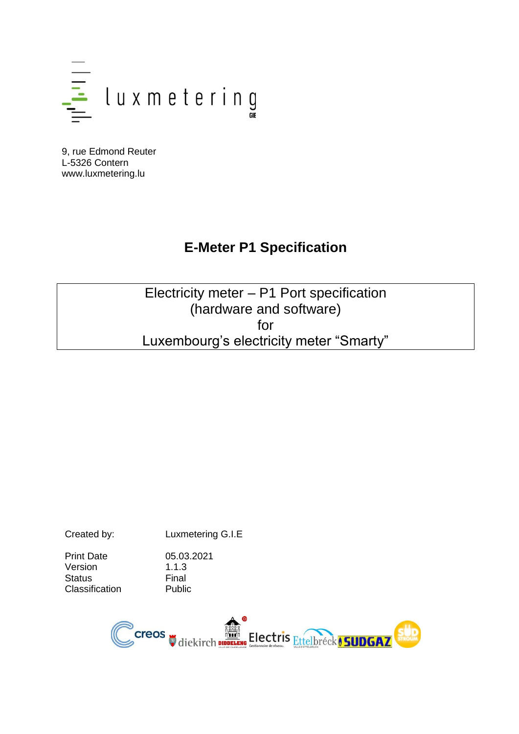

9, rue Edmond Reuter L-5326 Contern www.luxmetering.lu

# **E-Meter P1 Specification**

Electricity meter – P1 Port specification (hardware and software) for Luxembourg's electricity meter "Smarty"

Created by: Luxmetering G.I.E

Print Date 05.03.2021 Version 1.1.3 Status Final<br>Classification Public Classification

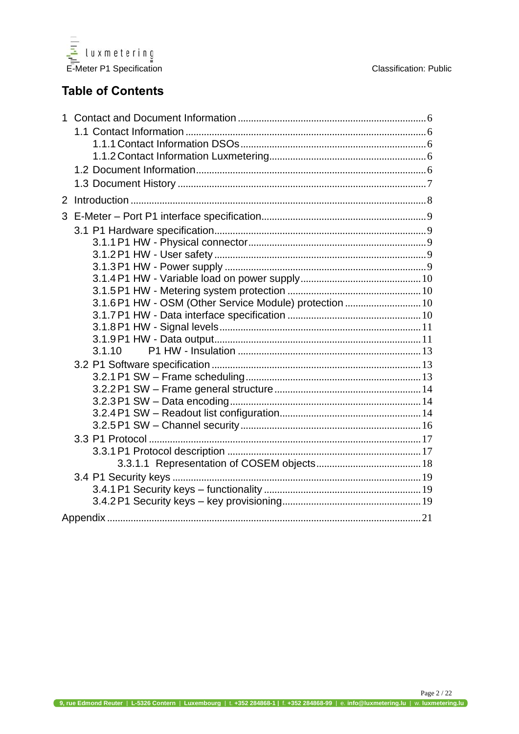

## **Table of Contents**

| $\mathbf{1}$ |                                                         |
|--------------|---------------------------------------------------------|
|              |                                                         |
|              |                                                         |
|              |                                                         |
|              |                                                         |
|              |                                                         |
| 2            |                                                         |
|              |                                                         |
|              |                                                         |
|              |                                                         |
|              |                                                         |
|              |                                                         |
|              |                                                         |
|              |                                                         |
|              | 3.1.6 P1 HW - OSM (Other Service Module) protection  10 |
|              |                                                         |
|              |                                                         |
|              |                                                         |
|              | 3.1.10                                                  |
|              |                                                         |
|              |                                                         |
|              |                                                         |
|              |                                                         |
|              |                                                         |
|              |                                                         |
|              |                                                         |
|              |                                                         |
|              |                                                         |
|              |                                                         |
|              |                                                         |
|              |                                                         |
|              |                                                         |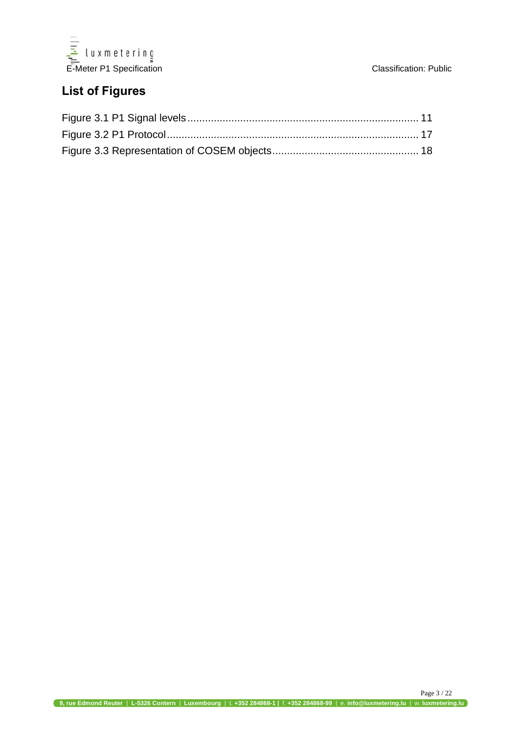

# **List of Figures**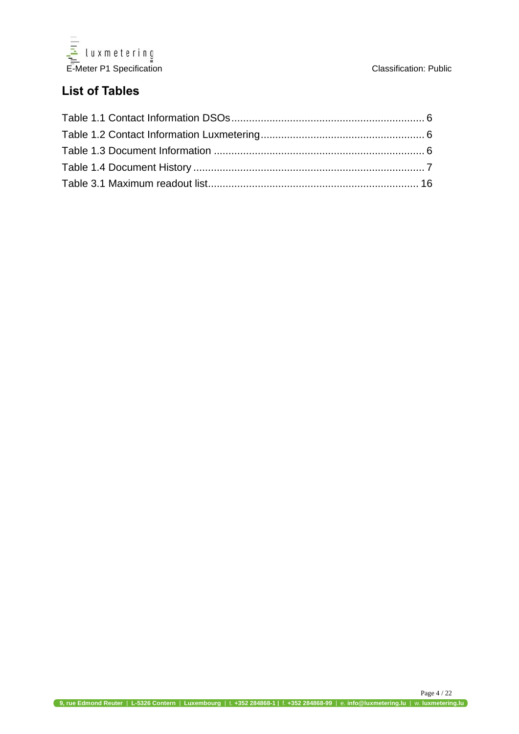

## **List of Tables**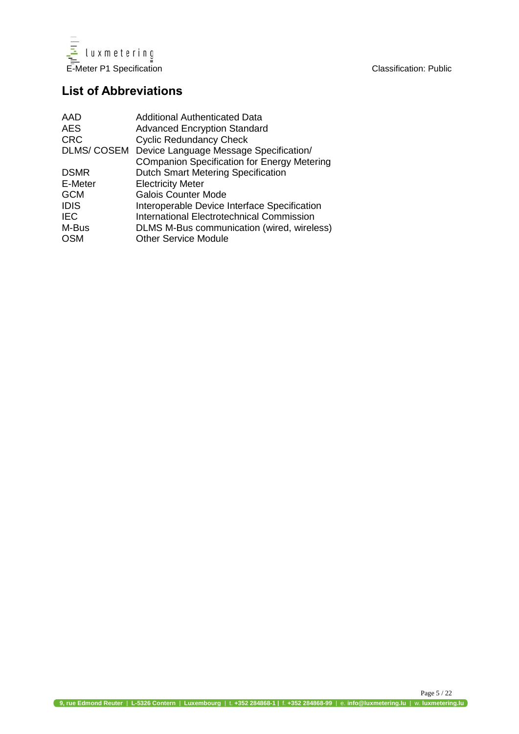

## **List of Abbreviations**

| AAD               | <b>Additional Authenticated Data</b>               |
|-------------------|----------------------------------------------------|
| <b>AES</b>        | <b>Advanced Encryption Standard</b>                |
| <b>CRC</b>        | <b>Cyclic Redundancy Check</b>                     |
| <b>DLMS/COSEM</b> | Device Language Message Specification/             |
|                   | <b>COmpanion Specification for Energy Metering</b> |
| <b>DSMR</b>       | <b>Dutch Smart Metering Specification</b>          |
| E-Meter           | <b>Electricity Meter</b>                           |
| <b>GCM</b>        | <b>Galois Counter Mode</b>                         |
| <b>IDIS</b>       | Interoperable Device Interface Specification       |
| <b>IEC</b>        | <b>International Electrotechnical Commission</b>   |
| M-Bus             | DLMS M-Bus communication (wired, wireless)         |
| <b>OSM</b>        | <b>Other Service Module</b>                        |
|                   |                                                    |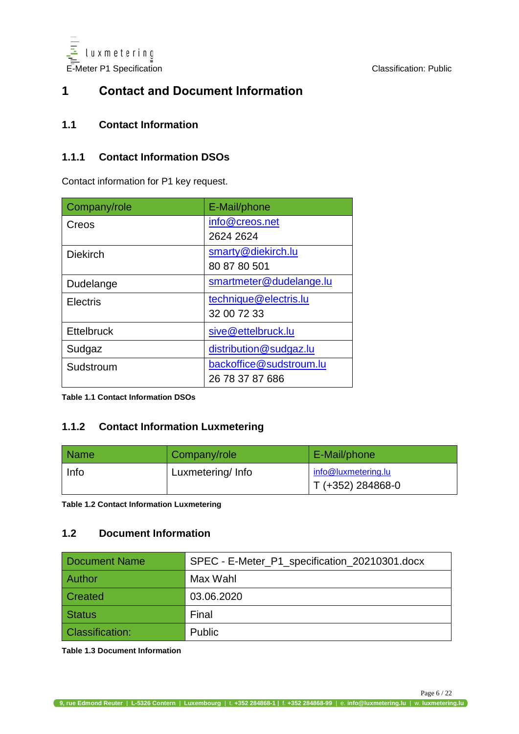

## <span id="page-5-0"></span>**1 Contact and Document Information**

#### <span id="page-5-1"></span>**1.1 Contact Information**

#### <span id="page-5-2"></span>**1.1.1 Contact Information DSOs**

Contact information for P1 key request.

| Company/role      | E-Mail/phone            |  |  |
|-------------------|-------------------------|--|--|
| Creos             | info@creos.net          |  |  |
|                   | 2624 2624               |  |  |
| <b>Diekirch</b>   | smarty@diekirch.lu      |  |  |
|                   | 80 87 80 501            |  |  |
| Dudelange         | smartmeter@dudelange.lu |  |  |
| <b>Electris</b>   | technique@electris.lu   |  |  |
|                   | 32 00 72 33             |  |  |
| <b>Ettelbruck</b> | sive@ettelbruck.lu      |  |  |
| Sudgaz            | distribution@sudgaz.lu  |  |  |
| Sudstroum         | backoffice@sudstroum.lu |  |  |
|                   | 26 78 37 87 686         |  |  |

**Table 1.1 Contact Information DSOs** 

#### <span id="page-5-3"></span>**1.1.2 Contact Information Luxmetering**

| <b>Name</b> | Company/role     | E-Mail/phone                             |
|-------------|------------------|------------------------------------------|
| Info        | Luxmetering/Info | info@luxmetering.lu<br>T (+352) 284868-0 |

**Table 1.2 Contact Information Luxmetering** 

#### <span id="page-5-4"></span>**1.2 Document Information**

| <b>Document Name</b>   | SPEC - E-Meter_P1_specification_20210301.docx |
|------------------------|-----------------------------------------------|
| <b>Author</b>          | Max Wahl                                      |
| Created                | 03.06.2020                                    |
| <b>Status</b>          | Final                                         |
| <b>Classification:</b> | <b>Public</b>                                 |

**Table 1.3 Document Information**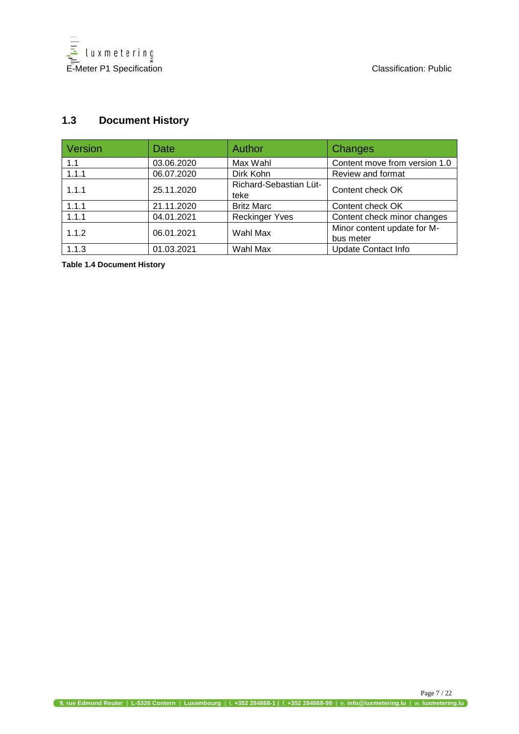

#### <span id="page-6-0"></span>**1.3 Document History**

| Version | Date       | Author                         | Changes                                  |
|---------|------------|--------------------------------|------------------------------------------|
| 1.1     | 03.06.2020 | Max Wahl                       | Content move from version 1.0            |
| 1.1.1   | 06.07.2020 | Dirk Kohn                      | Review and format                        |
| 1.1.1   | 25.11.2020 | Richard-Sebastian Lüt-<br>teke | Content check OK                         |
| 1.1.1   | 21.11.2020 | <b>Britz Marc</b>              | Content check OK                         |
| 1.1.1   | 04.01.2021 | <b>Reckinger Yves</b>          | Content check minor changes              |
| 1.1.2   | 06.01.2021 | Wahl Max                       | Minor content update for M-<br>bus meter |
| 1.1.3   | 01.03.2021 | Wahl Max                       | <b>Update Contact Info</b>               |

**Table 1.4 Document History**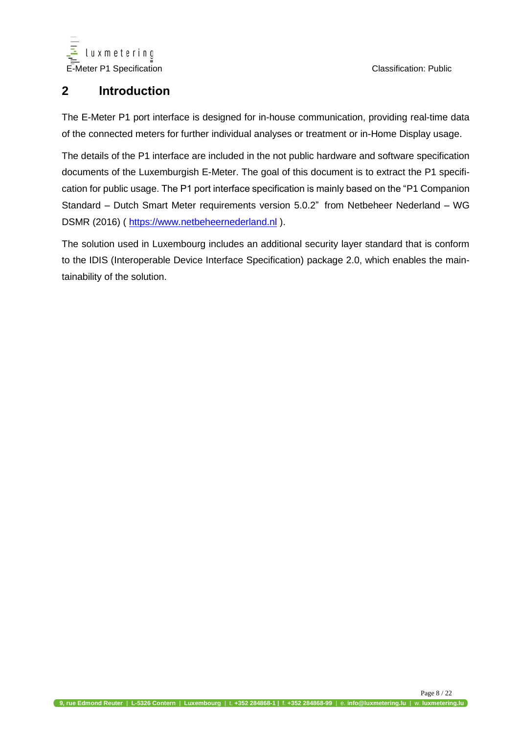

## <span id="page-7-0"></span>**2 Introduction**

The E-Meter P1 port interface is designed for in-house communication, providing real-time data of the connected meters for further individual analyses or treatment or in-Home Display usage.

The details of the P1 interface are included in the not public hardware and software specification documents of the Luxemburgish E-Meter. The goal of this document is to extract the P1 specification for public usage. The P1 port interface specification is mainly based on the "P1 Companion Standard – Dutch Smart Meter requirements version 5.0.2" from Netbeheer Nederland – WG DSMR (2016) ( [https://www.netbeheernederland.nl](https://www.netbeheernederland.nl/)).

The solution used in Luxembourg includes an additional security layer standard that is conform to the IDIS (Interoperable Device Interface Specification) package 2.0, which enables the maintainability of the solution.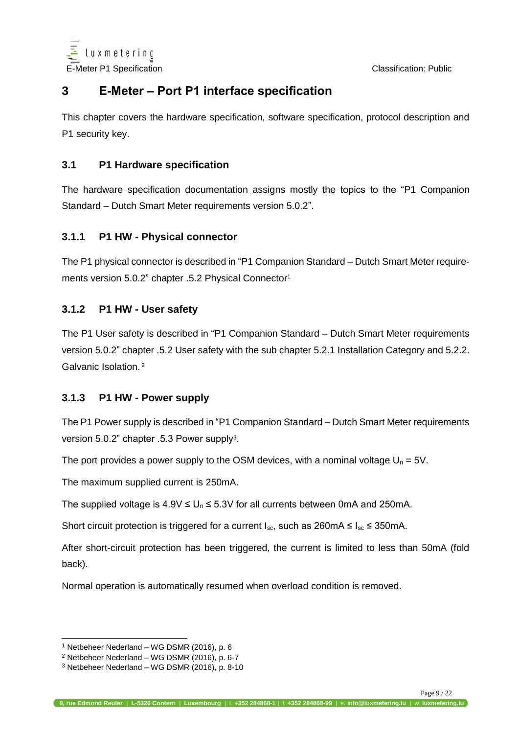

## <span id="page-8-0"></span>**3 E-Meter – Port P1 interface specification**

This chapter covers the hardware specification, software specification, protocol description and P1 security key.

#### <span id="page-8-1"></span>**3.1 P1 Hardware specification**

The hardware specification documentation assigns mostly the topics to the "P1 Companion Standard – Dutch Smart Meter requirements version 5.0.2".

#### <span id="page-8-2"></span>**3.1.1 P1 HW - Physical connector**

The P1 physical connector is described in "P1 Companion Standard – Dutch Smart Meter requirements version 5.0.2" chapter .5.2 Physical Connector<sup>1</sup>

#### <span id="page-8-3"></span>**3.1.2 P1 HW - User safety**

The P1 User safety is described in "P1 Companion Standard – Dutch Smart Meter requirements version 5.0.2" chapter .5.2 User safety with the sub chapter 5.2.1 Installation Category and 5.2.2. Galvanic Isolation. <sup>2</sup>

#### <span id="page-8-4"></span>**3.1.3 P1 HW - Power supply**

The P1 Power supply is described in "P1 Companion Standard – Dutch Smart Meter requirements version 5.0.2" chapter .5.3 Power supply<sup>3</sup>.

The port provides a power supply to the OSM devices, with a nominal voltage  $U_n = 5V$ .

The maximum supplied current is 250mA.

The supplied voltage is  $4.9V \le U_0 \le 5.3V$  for all currents between 0mA and 250mA.

Short circuit protection is triggered for a current  $I_{\text{sc}}$ , such as 260mA  $\leq I_{\text{sc}} \leq 350$ mA.

After short-circuit protection has been triggered, the current is limited to less than 50mA (fold back).

Normal operation is automatically resumed when overload condition is removed.

 $\overline{a}$ <sup>1</sup> Netbeheer Nederland – WG DSMR (2016), p. 6

<sup>2</sup> Netbeheer Nederland – WG DSMR (2016), p. 6-7

<sup>3</sup> Netbeheer Nederland – WG DSMR (2016), p. 8-10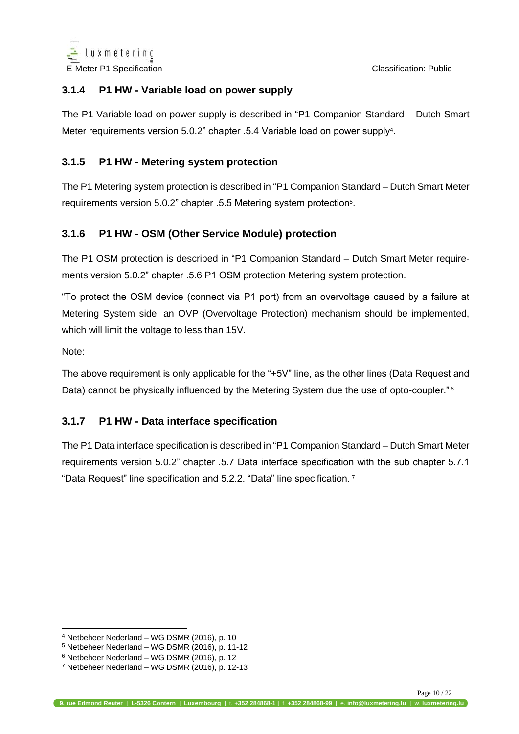

#### <span id="page-9-0"></span>**3.1.4 P1 HW - Variable load on power supply**

The P1 Variable load on power supply is described in "P1 Companion Standard – Dutch Smart Meter requirements version 5.0.2" chapter .5.4 Variable load on power supply<sup>4</sup> .

#### <span id="page-9-1"></span>**3.1.5 P1 HW - Metering system protection**

The P1 Metering system protection is described in "P1 Companion Standard – Dutch Smart Meter requirements version 5.0.2" chapter .5.5 Metering system protection<sup>5</sup>.

#### <span id="page-9-2"></span>**3.1.6 P1 HW - OSM (Other Service Module) protection**

The P1 OSM protection is described in "P1 Companion Standard – Dutch Smart Meter requirements version 5.0.2" chapter .5.6 P1 OSM protection Metering system protection.

"To protect the OSM device (connect via P1 port) from an overvoltage caused by a failure at Metering System side, an OVP (Overvoltage Protection) mechanism should be implemented, which will limit the voltage to less than 15V.

Note:

 $\overline{a}$ 

The above requirement is only applicable for the "+5V" line, as the other lines (Data Request and Data) cannot be physically influenced by the Metering System due the use of opto-coupler."<sup>6</sup>

#### <span id="page-9-3"></span>**3.1.7 P1 HW - Data interface specification**

The P1 Data interface specification is described in "P1 Companion Standard – Dutch Smart Meter requirements version 5.0.2" chapter .5.7 Data interface specification with the sub chapter 5.7.1 "Data Request" line specification and 5.2.2. "Data" line specification. <sup>7</sup>

<sup>4</sup> Netbeheer Nederland – WG DSMR (2016), p. 10

<sup>5</sup> Netbeheer Nederland – WG DSMR (2016), p. 11-12

<sup>6</sup> Netbeheer Nederland – WG DSMR (2016), p. 12

 $7$  Netbeheer Nederland – WG DSMR (2016), p. 12-13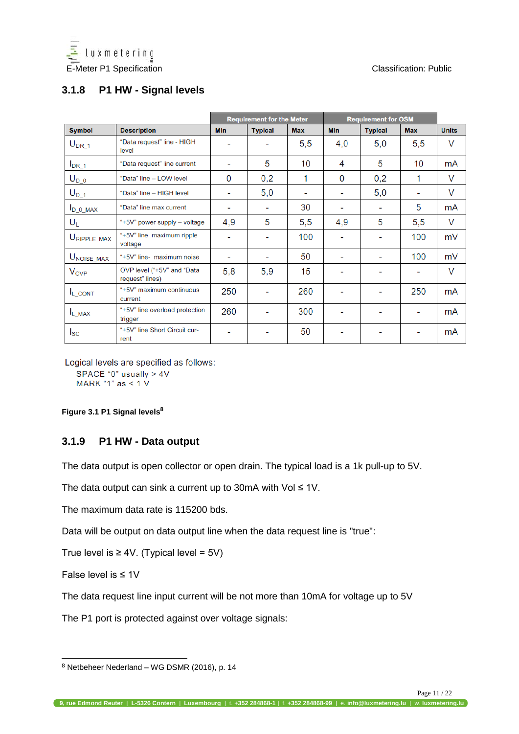

### <span id="page-10-0"></span>**3.1.8 P1 HW - Signal levels**

|                          |                                               |                          | <b>Requirement for the Meter</b> |            | <b>Requirement for OSM</b> |                |            |              |
|--------------------------|-----------------------------------------------|--------------------------|----------------------------------|------------|----------------------------|----------------|------------|--------------|
| <b>Symbol</b>            | <b>Description</b>                            | <b>Min</b>               | <b>Typical</b>                   | <b>Max</b> | <b>Min</b>                 | <b>Typical</b> | <b>Max</b> | <b>Units</b> |
| $U_{DR_1}$               | "Data request" line - HIGH<br>level           |                          |                                  | 5,5        | 4,0                        | 5,0            | 5,5        | $\vee$       |
| $I_{DR\_1}$              | "Data request" line current                   | $\overline{\phantom{0}}$ | 5                                | 10         | 4                          | 5              | 10         | mA           |
| $U_{D_0}$                | "Data" line - LOW level                       | 0                        | 0,2                              | 1          | 0                          | 0,2            | 1          | V            |
| $U_{D_1}$                | "Data" line - HIGH level                      | $\overline{\phantom{0}}$ | 5,0                              |            |                            | 5,0            |            | $\vee$       |
| $I_{D_0}$ MAX            | "Data" line max current                       | -                        | $\overline{\phantom{0}}$         | 30         | -                          | $\blacksquare$ | 5          | mA           |
| $U_L$                    | "+5V" power supply - voltage                  | 4,9                      | 5                                | 5,5        | 4,9                        | 5              | 5,5        | V            |
| $U_{\text{RIPPLE\_MAX}}$ | "+5V" line maximum ripple<br>voltage          | -                        |                                  | 100        | $\blacksquare$             |                | 100        | mV           |
| $U_{\text{NOISE\_MAX}}$  | "+5V" line- maximum noise                     | ۰                        |                                  | 50         | ۰                          | ۰              | 100        | mV           |
| <b>V<sub>OVP</sub></b>   | OVP level ("+5V" and "Data<br>request" lines) | 5,8                      | 5,9                              | 15         | -                          |                |            | $\vee$       |
| I <sub>L_CONT</sub>      | "+5V" maximum continuous<br>current           | 250                      |                                  | 260        |                            |                | 250        | mA           |
| $I_{L_MAX}$              | "+5V" line overload protection<br>trigger     | 260                      |                                  | 300        | $\blacksquare$             |                |            | mA           |
| $I_{SC}$                 | "+5V" line Short Circuit cur-<br>rent         |                          |                                  | 50         | $\blacksquare$             |                |            | mA           |

Logical levels are specified as follows:

SPACE "0" usually > 4V MARK "1" as < 1 V

<span id="page-10-2"></span>**Figure 3.1 P1 Signal levels<sup>8</sup>**

#### <span id="page-10-1"></span>**3.1.9 P1 HW - Data output**

The data output is open collector or open drain. The typical load is a 1k pull-up to 5V.

The data output can sink a current up to 30mA with Vol  $\leq 1$ V.

The maximum data rate is 115200 bds.

Data will be output on data output line when the data request line is "true":

True level is  $\geq 4V$ . (Typical level = 5V)

False level is ≤ 1V

 $\overline{a}$ 

The data request line input current will be not more than 10mA for voltage up to 5V

The P1 port is protected against over voltage signals:

<sup>8</sup> Netbeheer Nederland – WG DSMR (2016), p. 14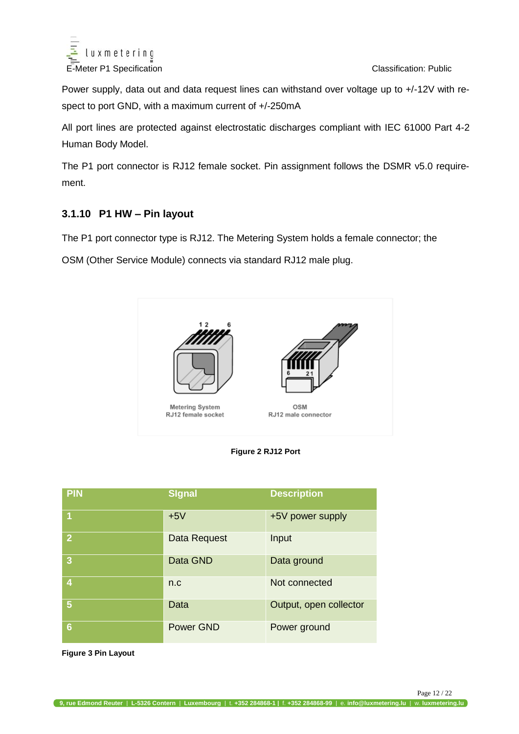

Power supply, data out and data request lines can withstand over voltage up to +/-12V with respect to port GND, with a maximum current of +/-250mA

All port lines are protected against electrostatic discharges compliant with IEC 61000 Part 4-2 Human Body Model.

The P1 port connector is RJ12 female socket. Pin assignment follows the DSMR v5.0 requirement.

#### **3.1.10 P1 HW – Pin layout**

The P1 port connector type is RJ12. The Metering System holds a female connector; the

OSM (Other Service Module) connects via standard RJ12 male plug.





| <b>PIN</b>     | Signal           | <b>Description</b>     |
|----------------|------------------|------------------------|
| 1              | $+5V$            | +5V power supply       |
| $\overline{2}$ | Data Request     | Input                  |
| 3              | Data GND         | Data ground            |
| 4              | n.c              | Not connected          |
| 5              | Data             | Output, open collector |
| 6              | <b>Power GND</b> | Power ground           |

**Figure 3 Pin Layout**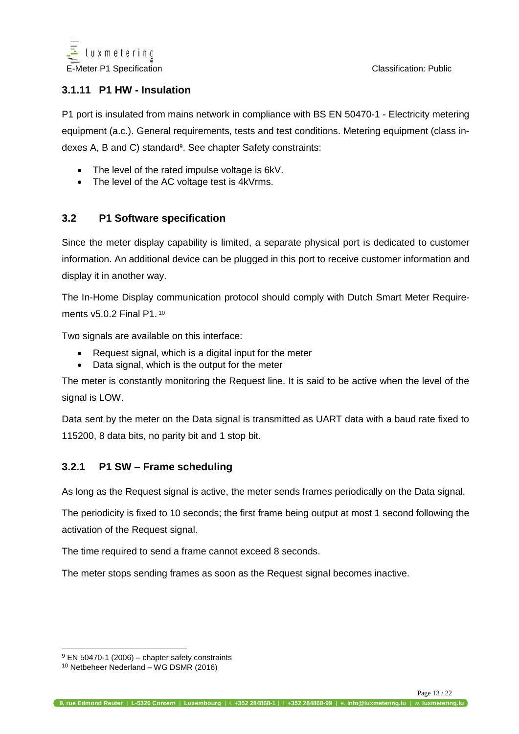

#### <span id="page-12-0"></span>**3.1.11 P1 HW - Insulation**

P1 port is insulated from mains network in compliance with BS EN 50470-1 - Electricity metering equipment (a.c.). General requirements, tests and test conditions. Metering equipment (class indexes A, B and C) standardº. See chapter Safety constraints:

- The level of the rated impulse voltage is 6kV.
- The level of the AC voltage test is 4kVrms.

#### <span id="page-12-1"></span>**3.2 P1 Software specification**

Since the meter display capability is limited, a separate physical port is dedicated to customer information. An additional device can be plugged in this port to receive customer information and display it in another way.

The In-Home Display communication protocol should comply with Dutch Smart Meter Requirements v5.0.2 Final P1. <sup>10</sup>

Two signals are available on this interface:

- Request signal, which is a digital input for the meter
- Data signal, which is the output for the meter

The meter is constantly monitoring the Request line. It is said to be active when the level of the signal is LOW.

Data sent by the meter on the Data signal is transmitted as UART data with a baud rate fixed to 115200, 8 data bits, no parity bit and 1 stop bit.

#### <span id="page-12-2"></span>**3.2.1 P1 SW – Frame scheduling**

As long as the Request signal is active, the meter sends frames periodically on the Data signal.

The periodicity is fixed to 10 seconds; the first frame being output at most 1 second following the activation of the Request signal.

The time required to send a frame cannot exceed 8 seconds.

The meter stops sending frames as soon as the Request signal becomes inactive.

 $\overline{a}$ 

 $9$  EN 50470-1 (2006) – chapter safety constraints

<sup>10</sup> Netbeheer Nederland – WG DSMR (2016)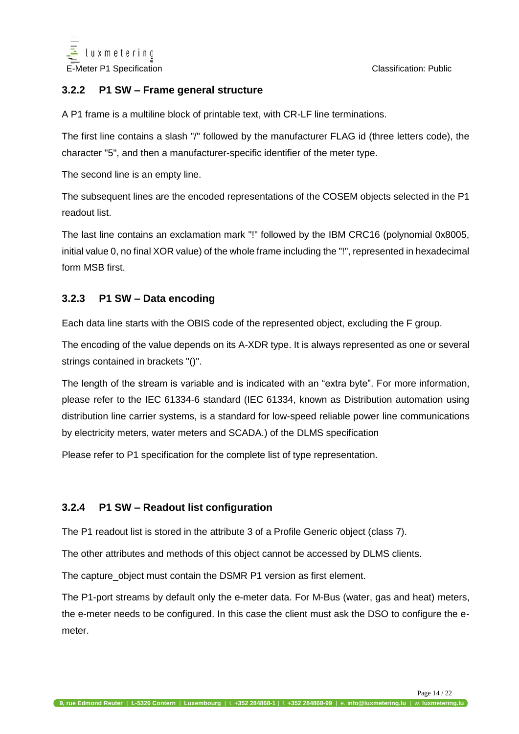

#### <span id="page-13-0"></span>**3.2.2 P1 SW – Frame general structure**

A P1 frame is a multiline block of printable text, with CR-LF line terminations.

The first line contains a slash "/" followed by the manufacturer FLAG id (three letters code), the character "5", and then a manufacturer-specific identifier of the meter type.

The second line is an empty line.

The subsequent lines are the encoded representations of the COSEM objects selected in the P1 readout list.

The last line contains an exclamation mark "!" followed by the IBM CRC16 (polynomial 0x8005, initial value 0, no final XOR value) of the whole frame including the "!", represented in hexadecimal form MSB first.

#### <span id="page-13-1"></span>**3.2.3 P1 SW – Data encoding**

Each data line starts with the OBIS code of the represented object, excluding the F group.

The encoding of the value depends on its A-XDR type. It is always represented as one or several strings contained in brackets "()".

The length of the stream is variable and is indicated with an "extra byte". For more information, please refer to the IEC 61334-6 standard (IEC 61334, known as Distribution automation using distribution line carrier systems, is a standard for low-speed reliable power line communications by electricity meters, water meters and SCADA.) of the DLMS specification

Please refer to P1 specification for the complete list of type representation.

#### <span id="page-13-2"></span>**3.2.4 P1 SW – Readout list configuration**

The P1 readout list is stored in the attribute 3 of a Profile Generic object (class 7).

The other attributes and methods of this object cannot be accessed by DLMS clients.

The capture\_object must contain the DSMR P1 version as first element.

The P1-port streams by default only the e-meter data. For M-Bus (water, gas and heat) meters, the e-meter needs to be configured. In this case the client must ask the DSO to configure the emeter.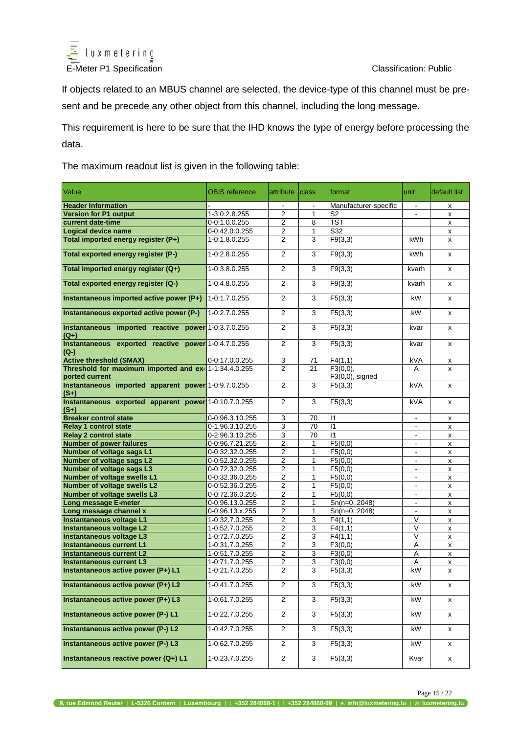

If objects related to an MBUS channel are selected, the device-type of this channel must be present and be precede any other object from this channel, including the long message.

This requirement is here to be sure that the IHD knows the type of energy before processing the data.

The maximum readout list is given in the following table:

| Value                                                                   | OBIS reference  | attribute               | <b>class</b> | format                         | lunit             | default list       |
|-------------------------------------------------------------------------|-----------------|-------------------------|--------------|--------------------------------|-------------------|--------------------|
| <b>Header Information</b>                                               |                 | $\blacksquare$          | $\sim$       | Manufacturer-specific          | $\sim$            | x                  |
| <b>Version for P1 output</b>                                            | 1-3:0.2.8.255   | 2                       | 1            | S <sub>2</sub>                 | $\blacksquare$    | x                  |
| current date-time                                                       | $0-0:1.0.0.255$ | $\overline{2}$          | 8            | <b>TST</b>                     |                   | X                  |
| Logical device name                                                     | 0-0:42.0.0.255  | $\overline{\mathbf{c}}$ | 1            | S32                            |                   | x                  |
| Total imported energy register (P+)                                     | 1-0:1.8.0.255   | $\overline{2}$          | 3            | F9(3,3)                        | kWh               | X                  |
| Total exported energy register (P-)                                     | 1-0:2.8.0.255   | 2                       | 3            | F9(3,3)                        | <b>kWh</b>        | x                  |
| Total imported energy register (Q+)                                     | 1-0:3.8.0.255   | 2                       | 3            | F9(3,3)                        | kvarh             | x                  |
| Total exported energy register (Q-)                                     | 1-0:4.8.0.255   | $\overline{2}$          | 3            | F9(3,3)                        | kvarh             | x                  |
| Instantaneous imported active power (P+)                                | 1-0:1.7.0.255   | 2                       | 3            | F5(3,3)                        | kW                | x                  |
| Instantaneous exported active power (P-)                                | 1-0:2.7.0.255   | $\overline{2}$          | 3            | F5(3,3)                        | kW                | x                  |
| Instantaneous imported reactive power 1-0:3.7.0.255<br>$(Q+)$           |                 | 2                       | 3            | F5(3,3)                        | kvar              | x                  |
| Instantaneous exported reactive power 1-0:4.7.0.255<br>(Q-)             |                 | $\overline{2}$          | 3            | $\overline{F}5(3,3)$           | kvar              | x                  |
| <b>Active threshold (SMAX)</b>                                          | 0-0:17.0.0.255  | 3                       | 71           | F4(1,1)                        | kVA               | x                  |
| Threshold for maximum imported and ex- 1-1:34.4.0.255<br>ported current |                 | $\overline{2}$          | 21           | F3(0,0),<br>$F3(0,0)$ , signed | A                 | x                  |
| Instantaneous imported apparent power 1-0:9.7.0.255<br>$(S+)$           |                 | $\overline{2}$          | 3            | F5(3,3)                        | kVA               | x                  |
| Instantaneous exported apparent power 1-0:10.7.0.255<br>$(S+)$          |                 | 2                       | 3            | F5(3,3)                        | kVA               | x                  |
| <b>Breaker control state</b>                                            | 0-0.96.3.10.255 | 3                       | 70           | $\mathsf{I}$                   | $\blacksquare$    | x                  |
| <b>Relay 1 control state</b>                                            | 0-1:96.3.10.255 | 3                       | 70           | $\overline{11}$                |                   | X                  |
| <b>Relay 2 control state</b>                                            | 0-2:96.3.10.255 | 3                       | 70           | 11                             | $\blacksquare$    | X                  |
| <b>Number of power failures</b>                                         | 0-0.96.7.21.255 | 2                       | 1            | F5(0,0)                        | $\blacksquare$    | x                  |
| Number of voltage sags L1                                               | 0-0:32.32.0.255 | 2                       | 1            | F5(0,0)                        | $\blacksquare$    | x                  |
| <b>Number of voltage sags L2</b>                                        | 0-0:52.32.0.255 | 2                       | 1            | F5(0,0)                        | $\blacksquare$    | x                  |
| <b>Number of voltage sags L3</b>                                        | 0-0:72.32.0.255 | 2                       | 1            | F5(0,0)                        |                   | x                  |
| <b>Number of voltage swells L1</b>                                      | 0-0:32.36.0.255 | 2                       | 1            | $\overline{F5(0,0)}$           | $\blacksquare$    | x                  |
| Number of voltage swells L2                                             | 0-0:52.36.0.255 | 2                       | 1            | F5(0,0)                        | $\blacksquare$    | x                  |
| Number of voltage swells L3                                             | 0-0:72.36.0.255 | 2                       | 1            | F5(0,0)                        | $\blacksquare$    | x                  |
| Long message E-meter                                                    | 0-0:96.13.0.255 | 2                       | 1            | $Sn(n=02048)$                  | $\blacksquare$    | X                  |
| Long message channel x                                                  | 0-0:96.13.x.255 | $\overline{2}$          | 1            | $Sn(n=02048)$                  | $\blacksquare$    | x                  |
| Instantaneous voltage L1                                                | 1-0:32.7.0.255  | $\overline{2}$          | 3            | F4(1,1)                        | $\vee$            | $\pmb{\mathsf{x}}$ |
| Instantaneous voltage L2                                                | 1-0:52.7.0.255  | 2                       | 3            | $\overline{F}$ 4(1,1)          | V                 | x                  |
| Instantaneous voltage L3                                                | 1-0:72.7.0.255  | 2                       | 3            | $\overline{F4(1,1)}$           | $\overline{\vee}$ | X                  |
| <b>Instantaneous current L1</b>                                         | 1-0:31.7.0.255  | 2                       | 3            | F3(0,0)                        | А                 | x                  |
| <b>Instantaneous current L2</b>                                         | 1-0:51.7.0.255  | 2                       | 3            | F3(0,0)                        | Α                 | X                  |
| <b>Instantaneous current L3</b>                                         | 1-0:71.7.0.255  | $\overline{2}$          | 3            | $\overline{F}3(0,0)$           | Α                 | X                  |
| Instantaneous active power (P+) L1                                      | 1-0:21.7.0.255  | 2                       | 3            | F5(3,3)                        | kW                | X                  |
| Instantaneous active power (P+) L2                                      | 1-0:41.7.0.255  | $\overline{2}$          | 3            | F5(3,3)                        | kW                | X                  |
| Instantaneous active power (P+) L3                                      | 1-0:61.7.0.255  | $\overline{c}$          | 3            | F5(3,3)                        | kW                | x                  |
| Instantaneous active power (P-) L1                                      | 1-0:22.7.0.255  | $\overline{2}$          | 3            | F5(3,3)                        | kW                | x                  |
| Instantaneous active power (P-) L2                                      | 1-0:42.7.0.255  | $\overline{2}$          | 3            | F5(3,3)                        | kW                | x                  |
| Instantaneous active power (P-) L3                                      | 1-0:62.7.0.255  | $\overline{2}$          | 3            | F5(3,3)                        | kW                | X                  |
| Instantaneous reactive power (Q+) L1                                    | 1-0:23.7.0.255  | $\overline{a}$          | 3            | F5(3,3)                        | Kvar              | x                  |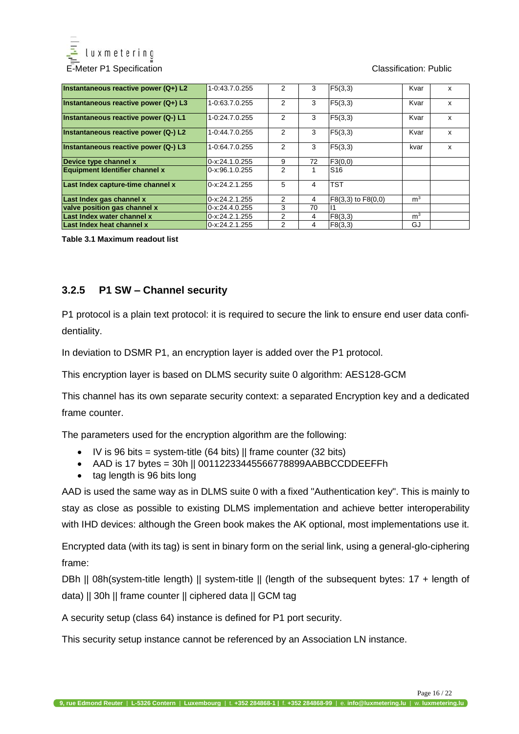

| Instantaneous reactive power (Q+) L2  | 1-0:43.7.0.255   | 2              | 3  | F5(3,3)            | Kvar           | x |
|---------------------------------------|------------------|----------------|----|--------------------|----------------|---|
| Instantaneous reactive power (Q+) L3  | 1-0:63.7.0.255   | $\overline{2}$ | 3  | F5(3,3)            | Kvar           | x |
| Instantaneous reactive power (Q-) L1  | 1-0:24.7.0.255   | 2              | 3  | F5(3,3)            | Kvar           | x |
| Instantaneous reactive power (Q-) L2  | 1-0:44.7.0.255   | 2              | 3  | F5(3,3)            | Kvar           | X |
| Instantaneous reactive power (Q-) L3  | 1-0:64.7.0.255   | $\mathcal{P}$  | 3  | F5(3,3)            | kvar           | x |
| Device type channel x                 | 0-x:24.1.0.255   | 9              | 72 | F3(0,0)            |                |   |
| <b>Equipment Identifier channel x</b> | $0-x.96.1.0.255$ | 2              | 1  | S <sub>16</sub>    |                |   |
| Last Index capture-time channel x     | 0-x:24.2.1.255   | 5              | 4  | <b>TST</b>         |                |   |
| Last Index gas channel x              | 0-x:24.2.1.255   | $\mathcal{P}$  | 4  | F8(3,3) to F8(0,0) | m <sup>3</sup> |   |
| valve position gas channel x          | 0-x:24.4.0.255   | 3              | 70 |                    |                |   |
| Last Index water channel x            | 0-x:24.2.1.255   | $\overline{2}$ | 4  | F8(3,3)            | m <sup>3</sup> |   |
| Last Index heat channel x             | 0-x:24.2.1.255   | 2              | 4  | F8(3.3)            | GJ             |   |

**Table 3.1 Maximum readout list**

#### <span id="page-15-0"></span>**3.2.5 P1 SW – Channel security**

P1 protocol is a plain text protocol: it is required to secure the link to ensure end user data confidentiality.

In deviation to DSMR P1, an encryption layer is added over the P1 protocol.

This encryption layer is based on DLMS security suite 0 algorithm: AES128-GCM

This channel has its own separate security context: a separated Encryption key and a dedicated frame counter.

The parameters used for the encryption algorithm are the following:

- IV is 96 bits = system-title  $(64 \text{ bits})$  || frame counter  $(32 \text{ bits})$
- AAD is 17 bytes = 30h || 00112233445566778899AABBCCDDEEFFh
- tag length is 96 bits long

AAD is used the same way as in DLMS suite 0 with a fixed "Authentication key". This is mainly to stay as close as possible to existing DLMS implementation and achieve better interoperability with IHD devices: although the Green book makes the AK optional, most implementations use it.

Encrypted data (with its tag) is sent in binary form on the serial link, using a general-glo-ciphering frame:

DBh || 08h(system-title length) || system-title || (length of the subsequent bytes: 17 + length of data) || 30h || frame counter || ciphered data || GCM tag

A security setup (class 64) instance is defined for P1 port security.

This security setup instance cannot be referenced by an Association LN instance.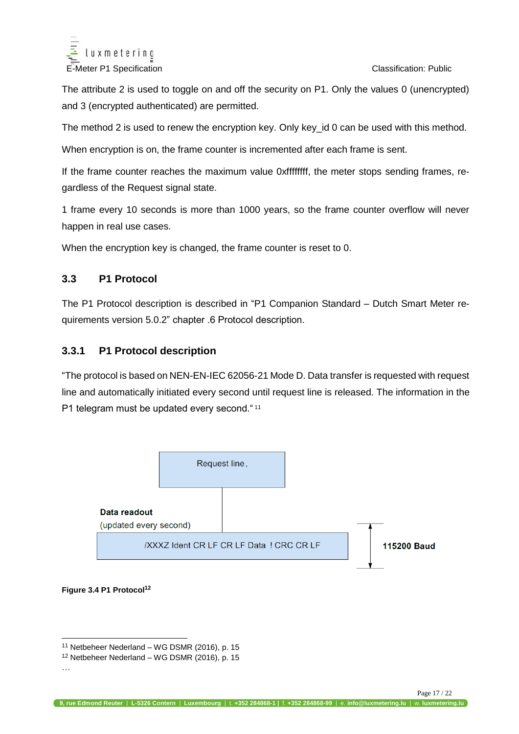

The attribute 2 is used to toggle on and off the security on P1. Only the values 0 (unencrypted) and 3 (encrypted authenticated) are permitted.

The method 2 is used to renew the encryption key. Only key\_id 0 can be used with this method.

When encryption is on, the frame counter is incremented after each frame is sent.

If the frame counter reaches the maximum value 0xffffffff, the meter stops sending frames, regardless of the Request signal state.

1 frame every 10 seconds is more than 1000 years, so the frame counter overflow will never happen in real use cases.

When the encryption key is changed, the frame counter is reset to 0.

#### <span id="page-16-0"></span>**3.3 P1 Protocol**

The P1 Protocol description is described in "P1 Companion Standard – Dutch Smart Meter requirements version 5.0.2" chapter .6 Protocol description.

#### <span id="page-16-1"></span>**3.3.1 P1 Protocol description**

"The protocol is based on NEN-EN-IEC 62056-21 Mode D. Data transfer is requested with request line and automatically initiated every second until request line is released. The information in the P1 telegram must be updated every second. "11



<span id="page-16-2"></span>**Figure 3.4 P1 Protocol<sup>12</sup>**

 $\overline{a}$ 

<sup>11</sup> Netbeheer Nederland – WG DSMR (2016), p. 15

<sup>12</sup> Netbeheer Nederland – WG DSMR (2016), p. 15

<sup>…</sup>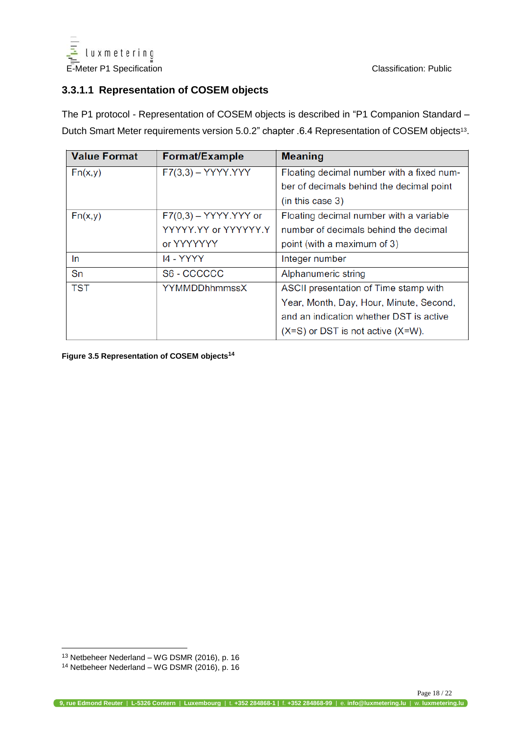

#### <span id="page-17-0"></span>**3.3.1.1 Representation of COSEM objects**

The P1 protocol - Representation of COSEM objects is described in "P1 Companion Standard – Dutch Smart Meter requirements version 5.0.2" chapter .6.4 Representation of COSEM objects<sup>13</sup>.

| <b>Value Format</b> | <b>Format/Example</b>   | <b>Meaning</b>                            |
|---------------------|-------------------------|-------------------------------------------|
| Fn(x,y)             | $F7(3,3) - YYYY.YYY$    | Floating decimal number with a fixed num- |
|                     |                         | ber of decimals behind the decimal point  |
|                     |                         | (in this case 3)                          |
| Fn(x,y)             | $F7(0,3) - YYYY.YYY$ or | Floating decimal number with a variable   |
|                     | YYYYY.YY or YYYYYY.Y    | number of decimals behind the decimal     |
|                     | or YYYYYYY              | point (with a maximum of 3)               |
| In.                 | <b>14 - YYYY</b>        | Integer number                            |
| Sn                  | S6 - CCCCCC             | Alphanumeric string                       |
| <b>TST</b>          | <b>YYMMDDhhmmssX</b>    | ASCII presentation of Time stamp with     |
|                     |                         | Year, Month, Day, Hour, Minute, Second,   |
|                     |                         | and an indication whether DST is active   |
|                     |                         | $(X=S)$ or DST is not active $(X=W)$ .    |

<span id="page-17-1"></span>**Figure 3.5 Representation of COSEM objects<sup>14</sup>**

 $\overline{a}$ 

<sup>13</sup> Netbeheer Nederland – WG DSMR (2016), p. 16

<sup>14</sup> Netbeheer Nederland – WG DSMR (2016), p. 16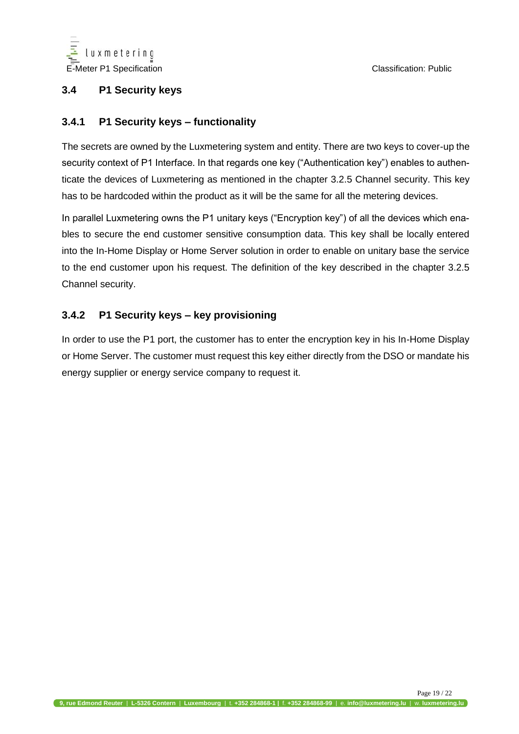

#### <span id="page-18-0"></span>**3.4 P1 Security keys**

#### <span id="page-18-1"></span>**3.4.1 P1 Security keys – functionality**

The secrets are owned by the Luxmetering system and entity. There are two keys to cover-up the security context of P1 Interface. In that regards one key ("Authentication key") enables to authenticate the devices of Luxmetering as mentioned in the chapter 3.2.5 Channel security. This key has to be hardcoded within the product as it will be the same for all the metering devices.

In parallel Luxmetering owns the P1 unitary keys ("Encryption key") of all the devices which enables to secure the end customer sensitive consumption data. This key shall be locally entered into the In-Home Display or Home Server solution in order to enable on unitary base the service to the end customer upon his request. The definition of the key described in the chapter 3.2.5 Channel security.

#### <span id="page-18-2"></span>**3.4.2 P1 Security keys – key provisioning**

In order to use the P1 port, the customer has to enter the encryption key in his In-Home Display or Home Server. The customer must request this key either directly from the DSO or mandate his energy supplier or energy service company to request it.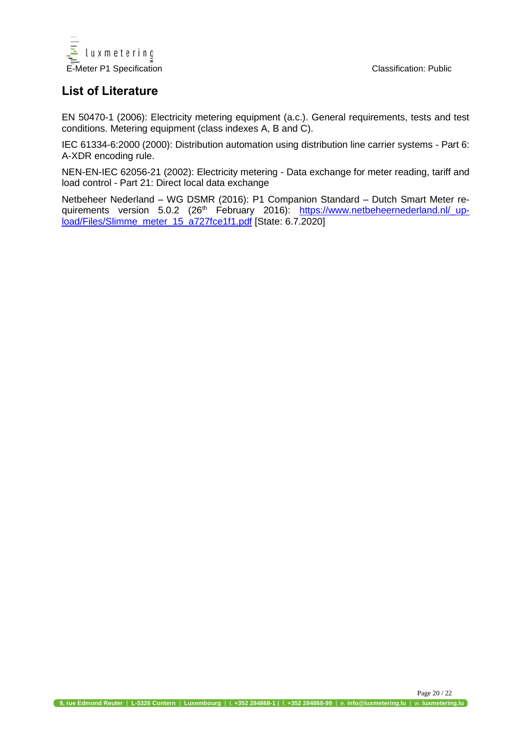

## **List of Literature**

EN 50470-1 (2006): Electricity metering equipment (a.c.). General requirements, tests and test conditions. Metering equipment (class indexes A, B and C).

IEC 61334-6:2000 (2000): Distribution automation using distribution line carrier systems - Part 6: A-XDR encoding rule.

NEN-EN-IEC 62056-21 (2002): Electricity metering - Data exchange for meter reading, tariff and load control - Part 21: Direct local data exchange

Netbeheer Nederland – WG DSMR (2016): P1 Companion Standard – Dutch Smart Meter requirements version 5.0.2 (26<sup>th</sup> February 2016): <u>https://www.netbeheernederland.nl/\_up-</u> [load/Files/Slimme\\_meter\\_15\\_a727fce1f1.pdf](https://www.netbeheernederland.nl/_upload/Files/Slimme_meter_15_a727fce1f1.pdf) [State: 6.7.2020]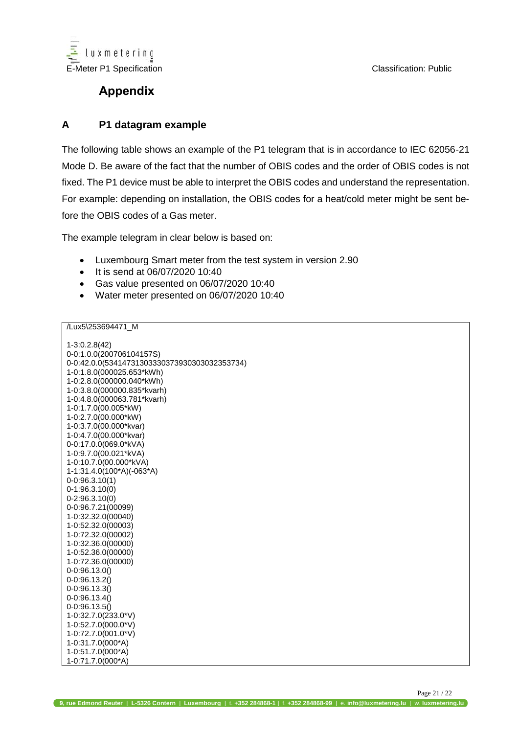

## **Appendix**

#### <span id="page-20-0"></span>**A P1 datagram example**

The following table shows an example of the P1 telegram that is in accordance to IEC 62056-21 Mode D. Be aware of the fact that the number of OBIS codes and the order of OBIS codes is not fixed. The P1 device must be able to interpret the OBIS codes and understand the representation. For example: depending on installation, the OBIS codes for a heat/cold meter might be sent before the OBIS codes of a Gas meter.

The example telegram in clear below is based on:

- Luxembourg Smart meter from the test system in version 2.90
- It is send at 06/07/2020 10:40
- Gas value presented on 06/07/2020 10:40
- Water meter presented on 06/07/2020 10:40

/Lux5\253694471\_M

| 1-3:0.2.8(42)<br>0-0:1.0.0(200706104157S)<br>0-0:42.0.0(53414731303330373930303032353734)<br>1-0:1.8.0(000025.653*kWh)<br>1-0:2.8.0(000000.040*kWh)<br>1-0:3.8.0(000000.835*kvarh)<br>1-0:4.8.0(000063.781*kvarh)<br>1-0:1.7.0(00.005*kW) |
|-------------------------------------------------------------------------------------------------------------------------------------------------------------------------------------------------------------------------------------------|
| 1-0:2.7.0(00.000*kW)                                                                                                                                                                                                                      |
| 1-0:3.7.0(00.000*kvar)<br>1-0:4.7.0(00.000*kvar)                                                                                                                                                                                          |
| 0-0:17.0.0(069.0*kVA)                                                                                                                                                                                                                     |
| 1-0:9.7.0(00.021*kVA)                                                                                                                                                                                                                     |
| 1-0:10.7.0(00.000*kVA)                                                                                                                                                                                                                    |
| 1-1:31.4.0(100*A)(-063*A)                                                                                                                                                                                                                 |
| $0-0:96.3.10(1)$<br>$0-1:96.3.10(0)$                                                                                                                                                                                                      |
| 0-2:96.3.10(0)                                                                                                                                                                                                                            |
| 0-0:96.7.21(00099)                                                                                                                                                                                                                        |
| 1-0:32.32.0(00040)                                                                                                                                                                                                                        |
| 1-0:52.32.0(00003)                                                                                                                                                                                                                        |
| 1-0:72.32.0(00002)                                                                                                                                                                                                                        |
| 1-0:32.36.0(00000)                                                                                                                                                                                                                        |
| 1-0:52.36.0(00000)<br>1-0:72.36.0(00000)                                                                                                                                                                                                  |
| 0-0:96.13.0()                                                                                                                                                                                                                             |
| 0-0:96.13.2()                                                                                                                                                                                                                             |
| 0-0:96.13.3()                                                                                                                                                                                                                             |
| 0-0:96.13.4()                                                                                                                                                                                                                             |
| 0-0:96.13.5()                                                                                                                                                                                                                             |
| 1-0:32.7.0(233.0*V)                                                                                                                                                                                                                       |
| 1-0:52.7.0(000.0*V)<br>1-0:72.7.0(001.0*V)                                                                                                                                                                                                |
| 1-0:31.7.0(000*A)                                                                                                                                                                                                                         |
| 1-0:51.7.0(000*A)                                                                                                                                                                                                                         |
| 1-0:71.7.0(000*A)                                                                                                                                                                                                                         |

Page 21 / 22